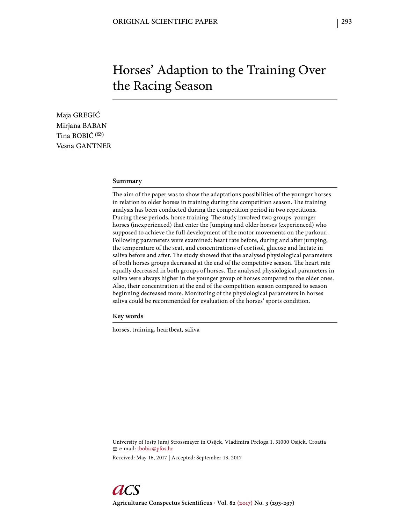# Horses' Adaption to the Training Over the Racing Season

Maja GREGIĆ Mirjana BABAN Tina BOBI $\acute{C}$ <sup>( $\boxdot$ )</sup> Vesna GANTNER

## **Summary**

The aim of the paper was to show the adaptations possibilities of the younger horses in relation to older horses in training during the competition season. The training analysis has been conducted during the competition period in two repetitions. During these periods, horse training. The study involved two groups: younger horses (inexperienced) that enter the Jumping and older horses (experienced) who supposed to achieve the full development of the motor movements on the parkour. Following parameters were examined: heart rate before, during and after jumping, the temperature of the seat, and concentrations of cortisol, glucose and lactate in saliva before and after. The study showed that the analysed physiological parameters of both horses groups decreased at the end of the competitive season. The heart rate equally decreased in both groups of horses. The analysed physiological parameters in saliva were always higher in the younger group of horses compared to the older ones. Also, their concentration at the end of the competition season compared to season beginning decreased more. Monitoring of the physiological parameters in horses saliva could be recommended for evaluation of the horses' sports condition.

**Key words**

horses, training, heartbeat, saliva

University of Josip Juraj Strossmayer in Osijek, Vladimira Preloga 1, 31000 Osijek, Croatia e-mail: tbobic@pfos.hr Received: May 16, 2017 | Accepted: September 13, 2017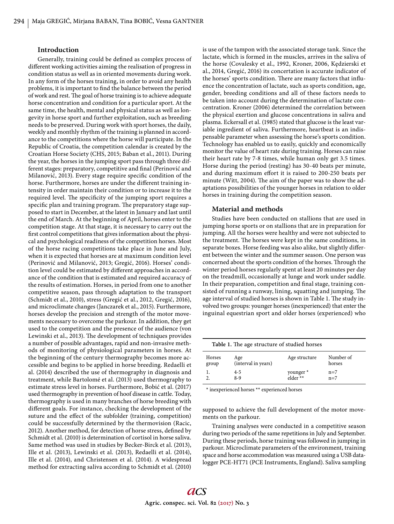### **Introduction**

Generally, training could be defined as complex process of different working activities aiming the realisation of progress in condition status as well as in oriented movements during work. In any form of the horses training, in order to avoid any health problems, it is important to find the balance between the period of work and rest. The goal of horse training is to achieve adequate horse concentration and condition for a particular sport. At the same time, the health, mental and physical status as well as longevity in horse sport and further exploitation, such as breeding needs to be preserved. During work with sport horses, the daily, weekly and monthly rhythm of the training is planned in accordance to the competitions where the horse will participate. In the Republic of Croatia, the competition calendar is created by the Croatian Horse Society (CHS, 2015; Baban et al., 2011). During the year, the horses in the jumping sport pass through three different stages: preparatory, competitive and final (Perinović and Milanović, 2013). Every stage require specific condition of the horse. Furthermore, horses are under the different training intensity in order maintain their condition or to increase it to the required level. The specificity of the jumping sport requires a specific plan and training program. The preparatory stage supposed to start in December, at the latest in January and last until the end of March. At the beginning of April, horses enter to the competition stage. At that stage, it is necessary to carry out the first control competitions that gives information about the physical and psychological readiness of the competition horses. Most of the horse racing competitions take place in June and July, when it is expected that horses are at maximum condition level (Perinović and Milanović, 2013; Gregić, 2016). Horses' condition level could be estimated by different approaches in accordance of the condition that is estimated and required accuracy of the results of estimation. Horses, in period from one to another competitive season, pass through adaptation to the transport (Schmidt et al., 2010), stress (Gregić et al., 2012, Gregić, 2016), and microclimate changes (Janczarek et al., 2015). Furthermore, horses develop the precision and strength of the motor movements necessary to overcome the parkour. In addition, they get used to the competition and the presence of the audience (von Lewinski et al., 2013). The development of techniques provides a number of possible advantages, rapid and non-invasive methods of monitoring of physiological parameters in horses. At the beginning of the century thermography becomes more accessible and begins to be applied in horse breeding. Redaelli et al. (2014) described the use of thermography in diagnosis and treatment, while Bartolomé et al. (2013) used thermography to estimate stress level in horses. Furthermore, Bobić et al. (2017) used thermography in prevention of hoof disease in cattle. Today, thermography is used in many branches of horse breeding with different goals. For instance, checking the development of the suture and the effect of the subfolder (training, competition) could be successfully determined by the thermovision (Racic, 2012). Another method, for detection of horse stress, defined by Schmidt et al. (2010) is determination of cortisol in horse saliva. Same method was used in studies by Becker-Birck et al. (2013), Ille et al. (2013), Lewinski et al. (2013), Redaelli et al. (2014), Ille et al. (2014), and Christensen et al. (2014). A widespread method for extracting saliva according to Schmidt et al. (2010)

is use of the tampon with the associated storage tank. Since the lactate, which is formed in the muscles, arrives in the saliva of the horse (Covalesky et al., 1992, Kroner, 2006, Kędzierski et al., 2014, Gregić, 2016) its concertation is accurate indicator of the horses' sports condition. There are many factors that influence the concentration of lactate, such as sports condition, age, gender, breeding conditions and all of these factors needs to be taken into account during the determination of lactate concentration. Kroner (2006) determined the correlation between the physical exertion and glucose concentrations in saliva and plasma. Eckersall et al. (1985) stated that glucose is the least variable ingredient of saliva. Furthermore, heartbeat is an indispensable parameter when assessing the horse's sports condition. Technology has enabled us to easily, quickly and economically monitor the value of heart rate during training. Horses can raise their heart rate by 7-8 times, while human only get 3.5 times. Horse during the period (resting) has 30-40 beats per minute, and during maximum effort it is raised to 200-250 beats per minute (Witt, 2004). The aim of the paper was to show the adaptations possibilities of the younger horses in relation to older horses in training during the competition season.

#### **Material and methods**

Studies have been conducted on stallions that are used in jumping horse sports or on stallions that are in preparation for jumping. All the horses were healthy and were not subjected to the treatment. The horses were kept in the same conditions, in separate boxes. Horse feeding was also alike, but slightly different between the winter and the summer season. One person was concerned about the sports condition of the horses. Through the winter period horses regularly spent at least 20 minutes per day on the treadmill, occasionally at lunge and work under saddle. In their preparation, competition and final stage, training consisted of running a runway, lining, squatting and jumping. The age interval of studied horses is shown in Table 1. The study involved two groups: younger horses (inexperienced) that enter the inguinal equestrian sport and older horses (experienced) who

|                 | Table 1. The age structure of studied horses |                       |                     |
|-----------------|----------------------------------------------|-----------------------|---------------------|
| Horses<br>group | Age<br>(interval in years)                   | Age structure         | Number of<br>horses |
|                 | 4-5<br>8-9                                   | younger *<br>elder ** | $n=7$<br>$n=7$      |

\* inexperienced horses \*\* experienced horses

supposed to achieve the full development of the motor movements on the parkour.

Training analyses were conducted in a competitive season during two periods of the same repetitions in July and September. During these periods, horse training was followed in jumping in parkour. Microclimate parameters of the environment, training space and horse accommodation was measured using a USB datalogger PCE-HT71 (PCE Instruments, England). Saliva sampling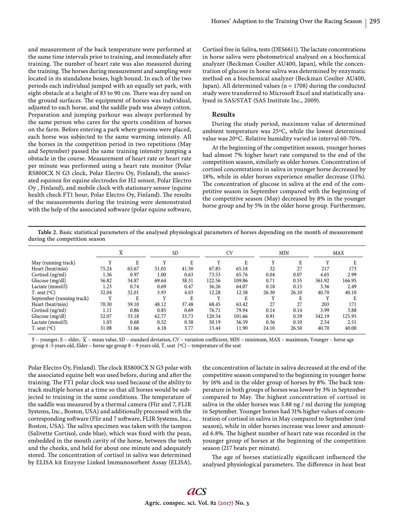and measurement of the back temperature were performed at the same time intervals prior to training, and immediately after training. The number of heart rate was also measured during the training. The horses during measurement and sampling were located in its standalone boxes, high bound. In each of the two periods each individual jumped with an equally set park, with eight obstacle at a height of 83 to 90 cm. There was dry sand on the ground surfaces. The equipment of horses was individual, adjusted to each horse, and the saddle pads was always cotton. Preparation and jumping parkour was always performed by the same person who cares for the sports condition of horses on the farm. Before entering a park where grooms were placed, each horse was subjected to the same warming intensity. All the horses in the competition period in two repetitions (May and September) passed the same training intensity jumping a obstacle in the course. Measurement of heart rate or heart rate per minute was performed using a heart rate monitor (Polar RS800CX N G3 clock, Polar Electro Oy, Finland), the associated equinox for equine electrodes for H2 sensor, Polar Electro Oy , Finland), and mobile clock with stationary sensor (equine health check FT1 hour, Polar Electro Oy, Finland). The results of the measurements during the training were demonstrated with the help of the associated software (polar equine software,

Cortisol free in Saliva, tests (DES6611). The lactate concentrations in horse saliva were photometrical analysed on a biochemical analyzer (Beckman Coulter AU400, Japan), while the concentration of glucose in horse saliva was determined by enzymatic method on a biochemical analyzer (Beckman Coulter AU400, Japan). All determined values ( $n = 1708$ ) during the conducted study were transferred to Microsoft Excel and statistically analysed in SAS/STAT (SAS Institute Inc., 2009).

#### **Results**

During the study period, maximum value of determined ambient temperature was 25ºC, while the lowest determined value was 20ºC. Relative humidity varied in interval 60-70%.

At the beginning of the competition season, younger horses had almost 7% higher heart rate compared to the end of the competition season, similarly as older horses. Concentration of cortisol concentrations in saliva in younger horse decreased by 18%, while in older horses experience smaller decrease (11%). The concentration of glucose in saliva at the end of the competitive season in September compared with the beginning of the competitive season (May) decreased by 8% in the younger horse group and by 5% in the older horse group. Furthermore,

**Table 2.** Basic statistical parameters of the analysed physiological parameters of horses depending on the month of measurement during the competition season

|                           |              | X     |              | <b>SD</b> |        | <b>CV</b> |       | <b>MIN</b> |        | MAX    |
|---------------------------|--------------|-------|--------------|-----------|--------|-----------|-------|------------|--------|--------|
| May (running track)       |              | E     |              | E         | Y      | E         | Y     | E          |        | E      |
| Heart (beat/min)          | 75.24        | 63.67 | 51.05        | 41.50     | 67.85  | 65.18     | 32    | 27         | 217    | 173    |
| Cortisol (ng/ml)          | 1.36         | 0.97  | 1.00         | 0.63      | 73.53  | 65.76     | 0.04  | 0.07       | 4.65   | 2.99   |
| Glucose (mg/dl)           | 56.82        | 34.87 | 69.64        | 38.31     | 122.56 | 109.86    | 0.71  | 0.55       | 361.92 | 166.95 |
| Lactate (mmol/l)          | 1.23         | 0.74  | 0.69         | 0.47      | 56.26  | 64.07     | 0.18  | 0.15       | 3.36   | 2.49   |
| T. seat $({}^{\circ}C)$   | 32.04        | 32.01 | 3.93         | 4.03      | 12.28  | 12.58     | 26.30 | 26.10      | 40.70  | 40.10  |
| September (running track) | $\mathbf{v}$ | E     | $\mathbf{v}$ | E         | Y      | E         | Y     | E          |        | E      |
| Heart (beat/min)          | 70.30        | 59.10 | 48.12        | 37.48     | 68.45  | 63.42     | 27    | 27         | 203    | 171    |
| Cortisol (ng/ml)          | 1.11         | 0.86  | 0.85         | 0.69      | 76.71  | 79.94     | 0.14  | 0.14       | 3.99   | 3.88   |
| Glucose $(mg/dl)$         | 52.07        | 33.18 | 62.77        | 33.73     | 120.54 | 101.66    | 0.91  | 0.59       | 342.19 | 125.95 |
| Lactate (mmol/l)          | 1.03         | 0.68  | 0.52         | 0.38      | 50.19  | 56.59     | 0.36  | 0.10       | 2.54   | 2.51   |
| T. seat $({}^{\circ}C)$   | 31.08        | 31.66 | 4.18         | 3.77      | 13.44  | 11.90     | 24.10 | 26.50      | 40.70  | 40.00  |

Y – younger, E – elder,  $\overline{X}$  – mean value, SD – standard deviation, CV – variation coefficient, MIN – minimum, MAX – maximum, Younger – horse age group 4 -5 years old, Elder – horse age group 8 – 9 years old, T. seat (ºC) – temperature of the seat

Polar Electro Oy, Finland). The clock RS800CX N G3 polar with the associated equine belt was used before, during and after the training. The FT1 polar clock was used because of the ability to track multiple horses at a time so that all horses would be subjected to training in the same conditions. The temperature of the saddle was measured by a thermal camera (Flir and 7, FLIR Systems, Inc., Boston, USA) and additionally processed with the corresponding software (Flir and 7 software, FLIR Systems, Inc., Boston, USA). The saliva specimen was taken with the tampon (Salivette Cortisol, code blue), which was fixed with the pean, embedded in the mouth cavity of the horse, between the teeth and the cheeks, and held for about one minute and adequately stored. The concentration of cortisol in saliva was determined by ELISA kit Enzyme Linked Immunosorbent Assay (ELISA),

the concentration of lactate in saliva decreased at the end of the competitive season compared to the beginning in younger horse by 16% and in the older group of horses by 8%. The back temperature in both groups of horses was lower by 3% in September compared to May. The highest concentration of cortisol in saliva in the older horses was 3.88 ng / ml during the jumping in September. Younger horses had 31% higher values of concentration of cortisol in saliva in May compared to September (end season), while in older horses increase was lower and amounted 6.8%. The highest number of heart rate was recorded in the younger group of horses at the beginning of the competition season (217 beats per minute).

The age of horses statistically significant influenced the analysed physiological parameters. The difference in heat beat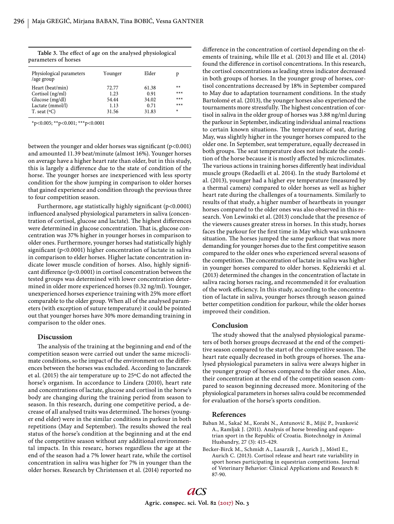| Physiological parameters<br>/age group | Younger | Elder | p     |
|----------------------------------------|---------|-------|-------|
| Heart (beat/min)                       | 72.77   | 61.38 | **    |
| Cortisol (ng/ml)                       | 1.23    | 0.91  | $***$ |
| Glucose (mg/dl)                        | 54.44   | 34.02 | $***$ |
| Lactate (mmol/l)                       | 1.13    | 0.71  | $***$ |
| T. seat $({}^{\circ}C)$                | 31.56   | 31.83 | *     |

Table 3. The effect of age on the analysed physiological parameters of horses

\*p<0.005; \*\*p<0.001; \*\*\*p<0.0001

between the younger and older horses was significant  $(p<0.001)$ and amounted 11.39 beat/minute (almost 16%). Younger horses on average have a higher heart rate than older, but in this study, this is largely a difference due to the state of condition of the horse. The younger horses are inexperienced with less sporty condition for the show jumping in comparison to older horses that gained experience and condition through the previous three to four competition season.

Furthermore, age statistically highly significant (p<0.0001) influenced analysed physiological parameters in saliva (concentration of cortisol, glucose and lactate). The highest differences were determined in glucose concentration. That is, glucose concentration was 37% higher in younger horses in comparison to older ones. Furthermore, younger horses had statistically highly significant (p<0.0001) higher concentration of lactate in saliva in comparison to elder horses. Higher lactate concentration indicate lower muscle condition of horses. Also, highly significant difference ( $p$ <0.0001) in cortisol concentration between the tested groups was determined with lower concentration determined in older more experienced horses (0.32 ng/ml). Younger, unexperienced horses experience training with 25% more effort comparable to the older group. When all of the analysed parameters (with exception of suture temperature) it could be pointed out that younger horses have 30% more demanding training in comparison to the older ones.

## **Discussion**

The analysis of the training at the beginning and end of the competition season were carried out under the same microclimate conditions, so the impact of the environment on the differences between the horses was excluded. According to Janczarek et al. (2015) the air temperature up to  $25^{\circ}$ C do not affected the horse's organism. In accordance to Lindera (2010), heart rate and concentrations of lactate, glucose and cortisol in the horse's body are changing during the training period from season to season. In this research, during one competitive period, a decrease of all analysed traits was determined. The horses (younger end elder) were in the similar conditions in parkour in both repetitions (May and September). The results showed the real status of the horse's condition at the beginning and at the end of the competitive season without any additional environmental impacts. In this researc, horses regardless the age at the end of the season had a 7% lower heart rate, while the cortisol concentration in saliva was higher for 7% in younger than the older horses. Research by Christensen et al. (2014) reported no difference in the concentration of cortisol depending on the elements of training, while Ille et al. (2013) and Ille et al. (2014) found the difference in cortisol concentrations. In this research, the cortisol concentrations as leading stress indicator decreased in both groups of horses. In the younger group of horses, cortisol concentrations decreased by 18% in September compared to May due to adaptation tournament conditions. In the study Bartolomé et al. (2013), the younger horses also experienced the tournaments more stressfully. The highest concentration of cortisol in saliva in the older group of horses was 3.88 ng/ml during the parkour in September, indicating individual animal reactions to certain known situations. The temperature of seat, during May, was slightly higher in the younger horses compared to the older one. In September, seat temperature, equally decreased in both groups. The seat temperature does not indicate the condition of the horse because it is mostly affected by microclimates. The various actions in training horses differently heat individual muscle groups (Redaelli et al. 2014). In the study Bartolomé et al. (2013), younger had a higher eye temperature (measured by a thermal camera) compared to older horses as well as higher heart rate during the challenges of a tournaments. Similarly to results of that study, a higher number of heartbeats in younger horses compared to the older ones was also observed in this research. Von Lewinski et al. (2013) conclude that the presence of the viewers causes greater stress in horses. In this study, horses faces the parkour for the first time in May which was unknown situation. The horses jumped the same parkour that was more demanding for younger horses due to the first competitive season compared to the older ones who experienced several seasons of the competition. The concentration of lactate in saliva was higher in younger horses compared to older horses. Kędzierski et al. (2013) determined the changes in the concentration of lactate in saliva racing horses racing, and recommended it for evaluation of the work efficiency. In this study, according to the concentration of lactate in saliva, younger horses through season gained better competition condition for parkour, while the older horses improved their condition.

## **Conclusion**

The study showed that the analysed physiological parameters of both horses groups decreased at the end of the competitive season compared to the start of the competitive season. The heart rate equally decreased in both groups of horses. The analysed physiological parameters in saliva were always higher in the younger group of horses compared to the older ones. Also, their concentration at the end of the competition season compared to season beginning decreased more. Monitoring of the physiological parameters in horses saliva could be recommended for evaluation of the horse's sports condition.

#### **References**

- Baban M., Sakač M., Korabi N., Antunović B., Mijić P., Ivanković A., Ramljak J. (2011). Analysis of horse breeding and equestrian sport in the Republic of Croatia. Biotechnolgy in Animal Husbandry, 27 (3): 415-429.
- Becker-Birck M., Schmidt A., Lasarzik J., Aurich J., Möstl E., Aurich C. (2013). Cortisol release and heart rate variability in sport horses participating in equestrian competitions. Journal of Veterinary Behavior: Clinical Applications and Research 8: 87-90.